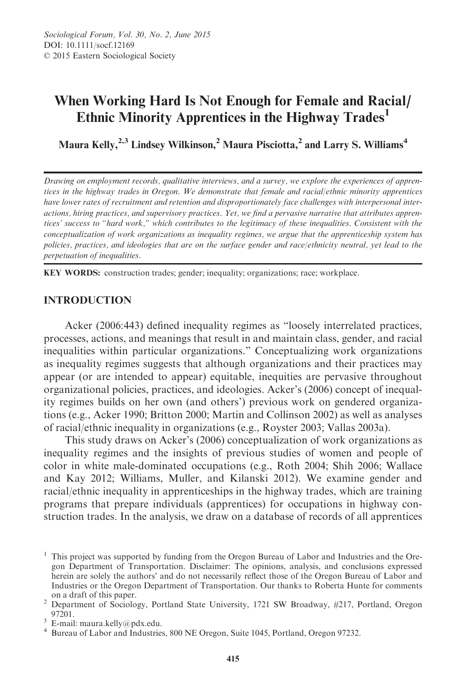# When Working Hard Is Not Enough for Female and Racial/ Ethnic Minority Apprentices in the Highway  $Trade<sup>1</sup>$

Maura Kelly,<sup>2,3</sup> Lindsey Wilkinson,<sup>2</sup> Maura Pisciotta,<sup>2</sup> and Larry S. Williams<sup>4</sup>

Drawing on employment records, qualitative interviews, and a survey, we explore the experiences of apprentices in the highway trades in Oregon. We demonstrate that female and racial/ethnic minority apprentices have lower rates of recruitment and retention and disproportionately face challenges with interpersonal interactions, hiring practices, and supervisory practices. Yet, we find a pervasive narrative that attributes apprentices' success to "hard work," which contributes to the legitimacy of these inequalities. Consistent with the conceptualization of work organizations as inequality regimes, we argue that the apprenticeship system has policies, practices, and ideologies that are on the surface gender and race/ethnicity neutral, yet lead to the perpetuation of inequalities.

KEY WORDS: construction trades; gender; inequality; organizations; race; workplace.

# INTRODUCTION

Acker (2006:443) defined inequality regimes as "loosely interrelated practices, processes, actions, and meanings that result in and maintain class, gender, and racial inequalities within particular organizations." Conceptualizing work organizations as inequality regimes suggests that although organizations and their practices may appear (or are intended to appear) equitable, inequities are pervasive throughout organizational policies, practices, and ideologies. Acker's (2006) concept of inequality regimes builds on her own (and others') previous work on gendered organizations (e.g., Acker 1990; Britton 2000; Martin and Collinson 2002) as well as analyses of racial/ethnic inequality in organizations (e.g., Royster 2003; Vallas 2003a).

This study draws on Acker's (2006) conceptualization of work organizations as inequality regimes and the insights of previous studies of women and people of color in white male-dominated occupations (e.g., Roth 2004; Shih 2006; Wallace and Kay 2012; Williams, Muller, and Kilanski 2012). We examine gender and racial/ethnic inequality in apprenticeships in the highway trades, which are training programs that prepare individuals (apprentices) for occupations in highway construction trades. In the analysis, we draw on a database of records of all apprentices

 $<sup>1</sup>$  This project was supported by funding from the Oregon Bureau of Labor and Industries and the Ore-</sup> gon Department of Transportation. Disclaimer: The opinions, analysis, and conclusions expressed herein are solely the authors' and do not necessarily reflect those of the Oregon Bureau of Labor and Industries or the Oregon Department of Transportation. Our thanks to Roberta Hunte for comments

on a draft of this paper. <sup>2</sup> Department of Sociology, Portland State University, 1721 SW Broadway, #217, Portland, Oregon 97201.<br><sup>3</sup> E-mail: maura.kelly@pdx.edu.<br><sup>4</sup> Bureau of Labor and Industries, 800 NE Oregon, Suite 1045, Portland, Oregon 97232.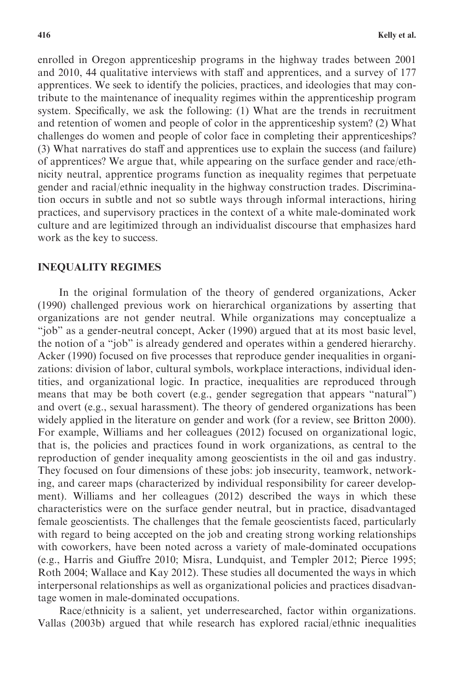enrolled in Oregon apprenticeship programs in the highway trades between 2001 and 2010, 44 qualitative interviews with staff and apprentices, and a survey of 177 apprentices. We seek to identify the policies, practices, and ideologies that may contribute to the maintenance of inequality regimes within the apprenticeship program system. Specifically, we ask the following: (1) What are the trends in recruitment and retention of women and people of color in the apprenticeship system? (2) What challenges do women and people of color face in completing their apprenticeships? (3) What narratives do staff and apprentices use to explain the success (and failure) of apprentices? We argue that, while appearing on the surface gender and race/ethnicity neutral, apprentice programs function as inequality regimes that perpetuate gender and racial/ethnic inequality in the highway construction trades. Discrimination occurs in subtle and not so subtle ways through informal interactions, hiring practices, and supervisory practices in the context of a white male-dominated work culture and are legitimized through an individualist discourse that emphasizes hard work as the key to success.

# INEQUALITY REGIMES

In the original formulation of the theory of gendered organizations, Acker (1990) challenged previous work on hierarchical organizations by asserting that organizations are not gender neutral. While organizations may conceptualize a "job" as a gender-neutral concept, Acker (1990) argued that at its most basic level, the notion of a "job" is already gendered and operates within a gendered hierarchy. Acker (1990) focused on five processes that reproduce gender inequalities in organizations: division of labor, cultural symbols, workplace interactions, individual identities, and organizational logic. In practice, inequalities are reproduced through means that may be both covert (e.g., gender segregation that appears "natural") and overt (e.g., sexual harassment). The theory of gendered organizations has been widely applied in the literature on gender and work (for a review, see Britton 2000). For example, Williams and her colleagues (2012) focused on organizational logic, that is, the policies and practices found in work organizations, as central to the reproduction of gender inequality among geoscientists in the oil and gas industry. They focused on four dimensions of these jobs: job insecurity, teamwork, networking, and career maps (characterized by individual responsibility for career development). Williams and her colleagues (2012) described the ways in which these characteristics were on the surface gender neutral, but in practice, disadvantaged female geoscientists. The challenges that the female geoscientists faced, particularly with regard to being accepted on the job and creating strong working relationships with coworkers, have been noted across a variety of male-dominated occupations (e.g., Harris and Giuffre 2010; Misra, Lundquist, and Templer 2012; Pierce 1995; Roth 2004; Wallace and Kay 2012). These studies all documented the ways in which interpersonal relationships as well as organizational policies and practices disadvantage women in male-dominated occupations.

Race/ethnicity is a salient, yet underresearched, factor within organizations. Vallas (2003b) argued that while research has explored racial/ethnic inequalities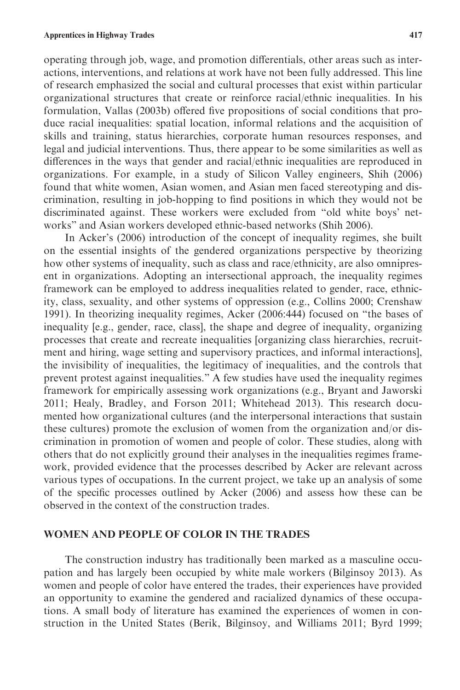operating through job, wage, and promotion differentials, other areas such as interactions, interventions, and relations at work have not been fully addressed. This line of research emphasized the social and cultural processes that exist within particular organizational structures that create or reinforce racial/ethnic inequalities. In his formulation, Vallas (2003b) offered five propositions of social conditions that produce racial inequalities: spatial location, informal relations and the acquisition of skills and training, status hierarchies, corporate human resources responses, and legal and judicial interventions. Thus, there appear to be some similarities as well as differences in the ways that gender and racial/ethnic inequalities are reproduced in organizations. For example, in a study of Silicon Valley engineers, Shih (2006) found that white women, Asian women, and Asian men faced stereotyping and discrimination, resulting in job-hopping to find positions in which they would not be discriminated against. These workers were excluded from "old white boys' networks" and Asian workers developed ethnic-based networks (Shih 2006).

In Acker's (2006) introduction of the concept of inequality regimes, she built on the essential insights of the gendered organizations perspective by theorizing how other systems of inequality, such as class and race/ethnicity, are also omnipresent in organizations. Adopting an intersectional approach, the inequality regimes framework can be employed to address inequalities related to gender, race, ethnicity, class, sexuality, and other systems of oppression (e.g., Collins 2000; Crenshaw 1991). In theorizing inequality regimes, Acker (2006:444) focused on "the bases of inequality [e.g., gender, race, class], the shape and degree of inequality, organizing processes that create and recreate inequalities [organizing class hierarchies, recruitment and hiring, wage setting and supervisory practices, and informal interactions], the invisibility of inequalities, the legitimacy of inequalities, and the controls that prevent protest against inequalities." A few studies have used the inequality regimes framework for empirically assessing work organizations (e.g., Bryant and Jaworski 2011; Healy, Bradley, and Forson 2011; Whitehead 2013). This research documented how organizational cultures (and the interpersonal interactions that sustain these cultures) promote the exclusion of women from the organization and/or discrimination in promotion of women and people of color. These studies, along with others that do not explicitly ground their analyses in the inequalities regimes framework, provided evidence that the processes described by Acker are relevant across various types of occupations. In the current project, we take up an analysis of some of the specific processes outlined by Acker (2006) and assess how these can be observed in the context of the construction trades.

#### WOMEN AND PEOPLE OF COLOR IN THE TRADES

The construction industry has traditionally been marked as a masculine occupation and has largely been occupied by white male workers (Bilginsoy 2013). As women and people of color have entered the trades, their experiences have provided an opportunity to examine the gendered and racialized dynamics of these occupations. A small body of literature has examined the experiences of women in construction in the United States (Berik, Bilginsoy, and Williams 2011; Byrd 1999;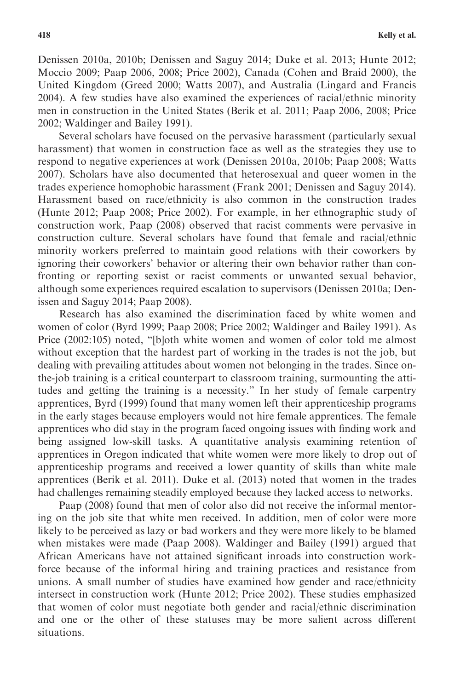Denissen 2010a, 2010b; Denissen and Saguy 2014; Duke et al. 2013; Hunte 2012; Moccio 2009; Paap 2006, 2008; Price 2002), Canada (Cohen and Braid 2000), the United Kingdom (Greed 2000; Watts 2007), and Australia (Lingard and Francis 2004). A few studies have also examined the experiences of racial/ethnic minority men in construction in the United States (Berik et al. 2011; Paap 2006, 2008; Price 2002; Waldinger and Bailey 1991).

Several scholars have focused on the pervasive harassment (particularly sexual harassment) that women in construction face as well as the strategies they use to respond to negative experiences at work (Denissen 2010a, 2010b; Paap 2008; Watts 2007). Scholars have also documented that heterosexual and queer women in the trades experience homophobic harassment (Frank 2001; Denissen and Saguy 2014). Harassment based on race/ethnicity is also common in the construction trades (Hunte 2012; Paap 2008; Price 2002). For example, in her ethnographic study of construction work, Paap (2008) observed that racist comments were pervasive in construction culture. Several scholars have found that female and racial/ethnic minority workers preferred to maintain good relations with their coworkers by ignoring their coworkers' behavior or altering their own behavior rather than confronting or reporting sexist or racist comments or unwanted sexual behavior, although some experiences required escalation to supervisors (Denissen 2010a; Denissen and Saguy 2014; Paap 2008).

Research has also examined the discrimination faced by white women and women of color (Byrd 1999; Paap 2008; Price 2002; Waldinger and Bailey 1991). As Price (2002:105) noted, "[b]oth white women and women of color told me almost without exception that the hardest part of working in the trades is not the job, but dealing with prevailing attitudes about women not belonging in the trades. Since onthe-job training is a critical counterpart to classroom training, surmounting the attitudes and getting the training is a necessity." In her study of female carpentry apprentices, Byrd (1999) found that many women left their apprenticeship programs in the early stages because employers would not hire female apprentices. The female apprentices who did stay in the program faced ongoing issues with finding work and being assigned low-skill tasks. A quantitative analysis examining retention of apprentices in Oregon indicated that white women were more likely to drop out of apprenticeship programs and received a lower quantity of skills than white male apprentices (Berik et al. 2011). Duke et al. (2013) noted that women in the trades had challenges remaining steadily employed because they lacked access to networks.

Paap (2008) found that men of color also did not receive the informal mentoring on the job site that white men received. In addition, men of color were more likely to be perceived as lazy or bad workers and they were more likely to be blamed when mistakes were made (Paap 2008). Waldinger and Bailey (1991) argued that African Americans have not attained significant inroads into construction workforce because of the informal hiring and training practices and resistance from unions. A small number of studies have examined how gender and race/ethnicity intersect in construction work (Hunte 2012; Price 2002). These studies emphasized that women of color must negotiate both gender and racial/ethnic discrimination and one or the other of these statuses may be more salient across different situations.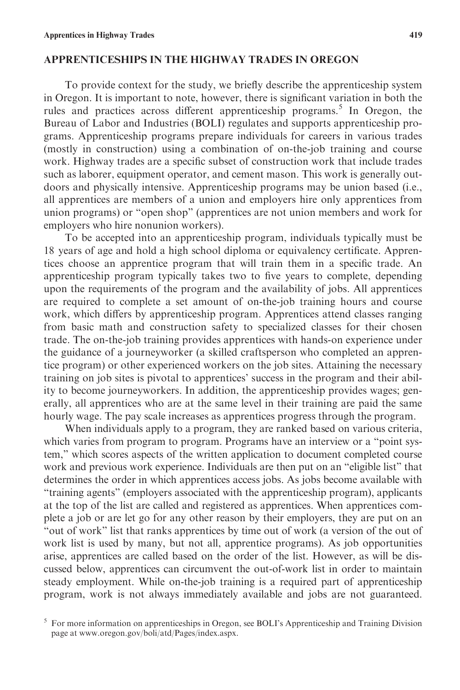## APPRENTICESHIPS IN THE HIGHWAY TRADES IN OREGON

To provide context for the study, we briefly describe the apprenticeship system in Oregon. It is important to note, however, there is significant variation in both the rules and practices across different apprenticeship programs.<sup>5</sup> In Oregon, the Bureau of Labor and Industries (BOLI) regulates and supports apprenticeship programs. Apprenticeship programs prepare individuals for careers in various trades (mostly in construction) using a combination of on-the-job training and course work. Highway trades are a specific subset of construction work that include trades such as laborer, equipment operator, and cement mason. This work is generally outdoors and physically intensive. Apprenticeship programs may be union based (i.e., all apprentices are members of a union and employers hire only apprentices from union programs) or "open shop" (apprentices are not union members and work for employers who hire nonunion workers).

To be accepted into an apprenticeship program, individuals typically must be 18 years of age and hold a high school diploma or equivalency certificate. Apprentices choose an apprentice program that will train them in a specific trade. An apprenticeship program typically takes two to five years to complete, depending upon the requirements of the program and the availability of jobs. All apprentices are required to complete a set amount of on-the-job training hours and course work, which differs by apprenticeship program. Apprentices attend classes ranging from basic math and construction safety to specialized classes for their chosen trade. The on-the-job training provides apprentices with hands-on experience under the guidance of a journeyworker (a skilled craftsperson who completed an apprentice program) or other experienced workers on the job sites. Attaining the necessary training on job sites is pivotal to apprentices' success in the program and their ability to become journeyworkers. In addition, the apprenticeship provides wages; generally, all apprentices who are at the same level in their training are paid the same hourly wage. The pay scale increases as apprentices progress through the program.

When individuals apply to a program, they are ranked based on various criteria, which varies from program to program. Programs have an interview or a "point system," which scores aspects of the written application to document completed course work and previous work experience. Individuals are then put on an "eligible list" that determines the order in which apprentices access jobs. As jobs become available with "training agents" (employers associated with the apprenticeship program), applicants at the top of the list are called and registered as apprentices. When apprentices complete a job or are let go for any other reason by their employers, they are put on an "out of work" list that ranks apprentices by time out of work (a version of the out of work list is used by many, but not all, apprentice programs). As job opportunities arise, apprentices are called based on the order of the list. However, as will be discussed below, apprentices can circumvent the out-of-work list in order to maintain steady employment. While on-the-job training is a required part of apprenticeship program, work is not always immediately available and jobs are not guaranteed.

 $<sup>5</sup>$  For more information on apprenticeships in Oregon, see BOLI's Apprenticeship and Training Division</sup> page at [www.oregon.gov/boli/atd/Pages/index.aspx.](http://www.dedoose.com)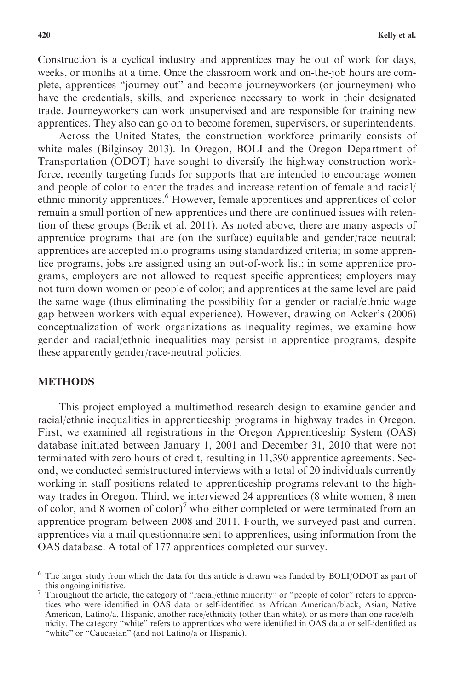Construction is a cyclical industry and apprentices may be out of work for days, weeks, or months at a time. Once the classroom work and on-the-job hours are complete, apprentices "journey out" and become journeyworkers (or journeymen) who have the credentials, skills, and experience necessary to work in their designated trade. Journeyworkers can work unsupervised and are responsible for training new apprentices. They also can go on to become foremen, supervisors, or superintendents.

Across the United States, the construction workforce primarily consists of white males (Bilginsoy 2013). In Oregon, BOLI and the Oregon Department of Transportation (ODOT) have sought to diversify the highway construction workforce, recently targeting funds for supports that are intended to encourage women and people of color to enter the trades and increase retention of female and racial/ ethnic minority apprentices.<sup>6</sup> However, female apprentices and apprentices of color remain a small portion of new apprentices and there are continued issues with retention of these groups (Berik et al. 2011). As noted above, there are many aspects of apprentice programs that are (on the surface) equitable and gender/race neutral: apprentices are accepted into programs using standardized criteria; in some apprentice programs, jobs are assigned using an out-of-work list; in some apprentice programs, employers are not allowed to request specific apprentices; employers may not turn down women or people of color; and apprentices at the same level are paid the same wage (thus eliminating the possibility for a gender or racial/ethnic wage gap between workers with equal experience). However, drawing on Acker's (2006) conceptualization of work organizations as inequality regimes, we examine how gender and racial/ethnic inequalities may persist in apprentice programs, despite these apparently gender/race-neutral policies.

### **METHODS**

This project employed a multimethod research design to examine gender and racial/ethnic inequalities in apprenticeship programs in highway trades in Oregon. First, we examined all registrations in the Oregon Apprenticeship System (OAS) database initiated between January 1, 2001 and December 31, 2010 that were not terminated with zero hours of credit, resulting in 11,390 apprentice agreements. Second, we conducted semistructured interviews with a total of 20 individuals currently working in staff positions related to apprenticeship programs relevant to the highway trades in Oregon. Third, we interviewed 24 apprentices (8 white women, 8 men of color, and 8 women of color)<sup>7</sup> who either completed or were terminated from an apprentice program between 2008 and 2011. Fourth, we surveyed past and current apprentices via a mail questionnaire sent to apprentices, using information from the OAS database. A total of 177 apprentices completed our survey.

<sup>&</sup>lt;sup>6</sup> The larger study from which the data for this article is drawn was funded by BOLI/ODOT as part of this ongoing initiative.<br><sup>7</sup> Throughout the article, the category of "racial/ethnic minority" or "people of color" refers to appren-

tices who were identified in OAS data or self-identified as African American/black, Asian, Native American, Latino/a, Hispanic, another race/ethnicity (other than white), or as more than one race/ethnicity. The category "white" refers to apprentices who were identified in OAS data or self-identified as "white" or "Caucasian" (and not Latino/a or Hispanic).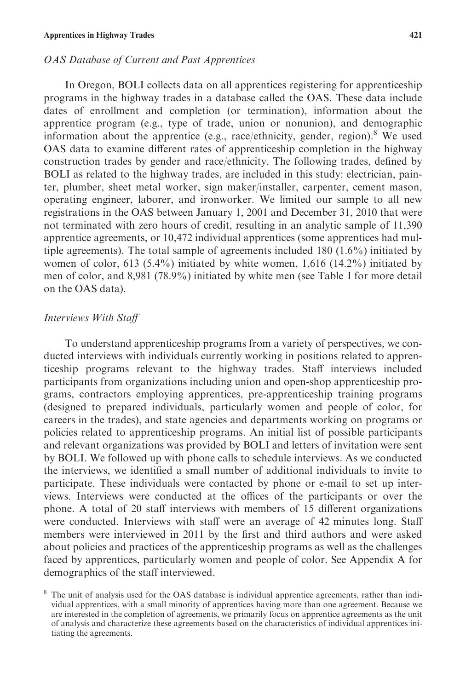In Oregon, BOLI collects data on all apprentices registering for apprenticeship programs in the highway trades in a database called the OAS. These data include dates of enrollment and completion (or termination), information about the apprentice program (e.g., type of trade, union or nonunion), and demographic information about the apprentice (e.g., race/ethnicity, gender, region).<sup>8</sup> We used OAS data to examine different rates of apprenticeship completion in the highway construction trades by gender and race/ethnicity. The following trades, defined by BOLI as related to the highway trades, are included in this study: electrician, painter, plumber, sheet metal worker, sign maker/installer, carpenter, cement mason, operating engineer, laborer, and ironworker. We limited our sample to all new registrations in the OAS between January 1, 2001 and December 31, 2010 that were not terminated with zero hours of credit, resulting in an analytic sample of 11,390 apprentice agreements, or 10,472 individual apprentices (some apprentices had multiple agreements). The total sample of agreements included 180 (1.6%) initiated by women of color, 613 (5.4%) initiated by white women, 1,616 (14.2%) initiated by men of color, and 8,981 (78.9%) initiated by white men (see Table I for more detail on the OAS data).

## Interviews With Staff

To understand apprenticeship programs from a variety of perspectives, we conducted interviews with individuals currently working in positions related to apprenticeship programs relevant to the highway trades. Staff interviews included participants from organizations including union and open-shop apprenticeship programs, contractors employing apprentices, pre-apprenticeship training programs (designed to prepared individuals, particularly women and people of color, for careers in the trades), and state agencies and departments working on programs or policies related to apprenticeship programs. An initial list of possible participants and relevant organizations was provided by BOLI and letters of invitation were sent by BOLI. We followed up with phone calls to schedule interviews. As we conducted the interviews, we identified a small number of additional individuals to invite to participate. These individuals were contacted by phone or e-mail to set up interviews. Interviews were conducted at the offices of the participants or over the phone. A total of 20 staff interviews with members of 15 different organizations were conducted. Interviews with staff were an average of 42 minutes long. Staff members were interviewed in 2011 by the first and third authors and were asked about policies and practices of the apprenticeship programs as well as the challenges faced by apprentices, particularly women and people of color. See Appendix A for demographics of the staff interviewed.

<sup>8</sup> The unit of analysis used for the OAS database is individual apprentice agreements, rather than individual apprentices, with a small minority of apprentices having more than one agreement. Because we are interested in the completion of agreements, we primarily focus on apprentice agreements as the unit of analysis and characterize these agreements based on the characteristics of individual apprentices initiating the agreements.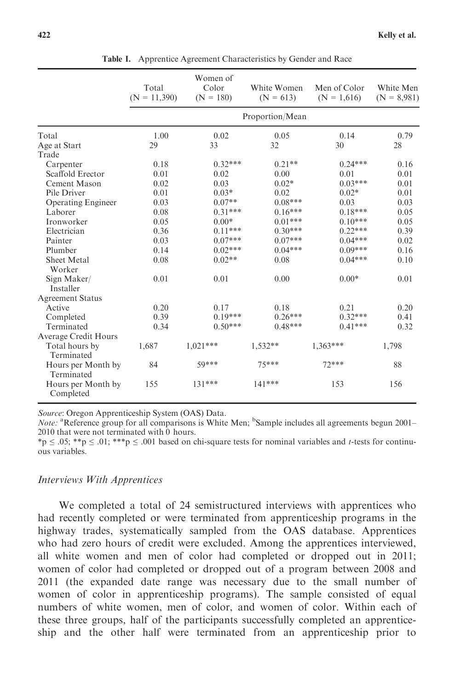|                                  | Total<br>$(N = 11,390)$ | Women of<br>Color<br>$(N = 180)$ | White Women<br>$(N = 613)$ | Men of Color<br>$(N = 1,616)$ | White Men<br>$(N = 8,981)$ |  |
|----------------------------------|-------------------------|----------------------------------|----------------------------|-------------------------------|----------------------------|--|
|                                  | Proportion/Mean         |                                  |                            |                               |                            |  |
| Total                            | 1.00                    | 0.02                             | 0.05                       | 0.14                          | 0.79                       |  |
| Age at Start                     | 29                      | 33                               | 32                         | 30                            | 28                         |  |
| Trade                            |                         |                                  |                            |                               |                            |  |
| Carpenter                        | 0.18                    | $0.32***$                        | $0.21**$                   | $0.24***$                     | 0.16                       |  |
| Scaffold Erector                 | 0.01                    | 0.02                             | 0.00                       | 0.01                          | 0.01                       |  |
| Cement Mason                     | 0.02                    | 0.03                             | $0.02*$                    | $0.03***$                     | 0.01                       |  |
| Pile Driver                      | 0.01                    | $0.03*$                          | 0.02                       | $0.02*$                       | 0.01                       |  |
| <b>Operating Engineer</b>        | 0.03                    | $0.07**$                         | $0.08***$                  | 0.03                          | 0.03                       |  |
| Laborer                          | 0.08                    | $0.31***$                        | $0.16***$                  | $0.18***$                     | 0.05                       |  |
| Ironworker                       | 0.05                    | $0.00*$                          | $0.01***$                  | $0.10***$                     | 0.05                       |  |
| Electrician                      | 0.36                    | $0.11***$                        | $0.30***$                  | $0.22***$                     | 0.39                       |  |
| Painter                          | 0.03                    | $0.07***$                        | $0.07***$                  | $0.04***$                     | 0.02                       |  |
| Plumber                          | 0.14                    | $0.02***$                        | $0.04***$                  | $0.09***$                     | 0.16                       |  |
| <b>Sheet Metal</b>               | 0.08                    | $0.02**$                         | 0.08                       | $0.04***$                     | 0.10                       |  |
| Worker                           |                         |                                  |                            |                               |                            |  |
| Sign Maker/                      | 0.01                    | 0.01                             | 0.00                       | $0.00*$                       | 0.01                       |  |
| Installer                        |                         |                                  |                            |                               |                            |  |
| <b>Agreement Status</b>          |                         |                                  |                            |                               |                            |  |
| Active                           | 0.20                    | 0.17                             | 0.18                       | 0.21                          | 0.20                       |  |
| Completed                        | 0.39                    | $0.19***$                        | $0.26***$                  | $0.32***$                     | 0.41                       |  |
| Terminated                       | 0.34                    | $0.50***$                        | $0.48***$                  | $0.41***$                     | 0.32                       |  |
| Average Credit Hours             |                         |                                  |                            |                               |                            |  |
| Total hours by<br>Terminated     | 1,687                   | $1,021***$                       | $1,532**$                  | $1,363***$                    | 1,798                      |  |
| Hours per Month by<br>Terminated | 84                      | 59***                            | $75***$                    | $72***$                       | 88                         |  |
| Hours per Month by<br>Completed  | 155                     | $131***$                         | $141***$                   | 153                           | 156                        |  |

Table I. Apprentice Agreement Characteristics by Gender and Race

Source: Oregon Apprenticeship System (OAS) Data.

Note: <sup>a</sup>Reference group for all comparisons is White Men; <sup>b</sup>Sample includes all agreements begun 2001– 2010 that were not terminated with 0 hours.

 $*p \le 0.05$ ;  $**p \le 0.01$ ;  $***p \le 0.001$  based on chi-square tests for nominal variables and *t*-tests for continuous variables.

#### Interviews With Apprentices

We completed a total of 24 semistructured interviews with apprentices who had recently completed or were terminated from apprenticeship programs in the highway trades, systematically sampled from the OAS database. Apprentices who had zero hours of credit were excluded. Among the apprentices interviewed, all white women and men of color had completed or dropped out in 2011; women of color had completed or dropped out of a program between 2008 and 2011 (the expanded date range was necessary due to the small number of women of color in apprenticeship programs). The sample consisted of equal numbers of white women, men of color, and women of color. Within each of these three groups, half of the participants successfully completed an apprenticeship and the other half were terminated from an apprenticeship prior to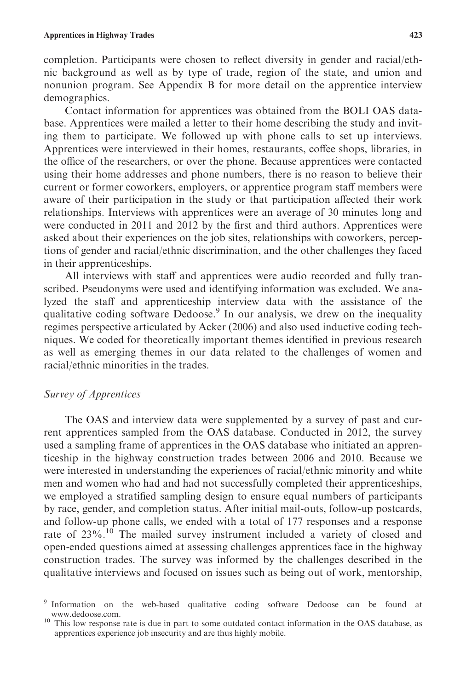completion. Participants were chosen to reflect diversity in gender and racial/ethnic background as well as by type of trade, region of the state, and union and nonunion program. See Appendix B for more detail on the apprentice interview demographics.

Contact information for apprentices was obtained from the BOLI OAS database. Apprentices were mailed a letter to their home describing the study and inviting them to participate. We followed up with phone calls to set up interviews. Apprentices were interviewed in their homes, restaurants, coffee shops, libraries, in the office of the researchers, or over the phone. Because apprentices were contacted using their home addresses and phone numbers, there is no reason to believe their current or former coworkers, employers, or apprentice program staff members were aware of their participation in the study or that participation affected their work relationships. Interviews with apprentices were an average of 30 minutes long and were conducted in 2011 and 2012 by the first and third authors. Apprentices were asked about their experiences on the job sites, relationships with coworkers, perceptions of gender and racial/ethnic discrimination, and the other challenges they faced in their apprenticeships.

All interviews with staff and apprentices were audio recorded and fully transcribed. Pseudonyms were used and identifying information was excluded. We analyzed the staff and apprenticeship interview data with the assistance of the qualitative coding software Dedoose.<sup>9</sup> In our analysis, we drew on the inequality regimes perspective articulated by Acker (2006) and also used inductive coding techniques. We coded for theoretically important themes identified in previous research as well as emerging themes in our data related to the challenges of women and racial/ethnic minorities in the trades.

#### Survey of Apprentices

The OAS and interview data were supplemented by a survey of past and current apprentices sampled from the OAS database. Conducted in 2012, the survey used a sampling frame of apprentices in the OAS database who initiated an apprenticeship in the highway construction trades between 2006 and 2010. Because we were interested in understanding the experiences of racial/ethnic minority and white men and women who had and had not successfully completed their apprenticeships, we employed a stratified sampling design to ensure equal numbers of participants by race, gender, and completion status. After initial mail-outs, follow-up postcards, and follow-up phone calls, we ended with a total of 177 responses and a response rate of  $23\%$ .<sup>10</sup> The mailed survey instrument included a variety of closed and open-ended questions aimed at assessing challenges apprentices face in the highway construction trades. The survey was informed by the challenges described in the qualitative interviews and focused on issues such as being out of work, mentorship,

<sup>9</sup> Information on the web-based qualitative coding software Dedoose can be found at

[www.dedoose.com](http://www.dedoose.com).<br><sup>10</sup> This low response rate is due in part to some outdated contact information in the OAS database, as apprentices experience job insecurity and are thus highly mobile.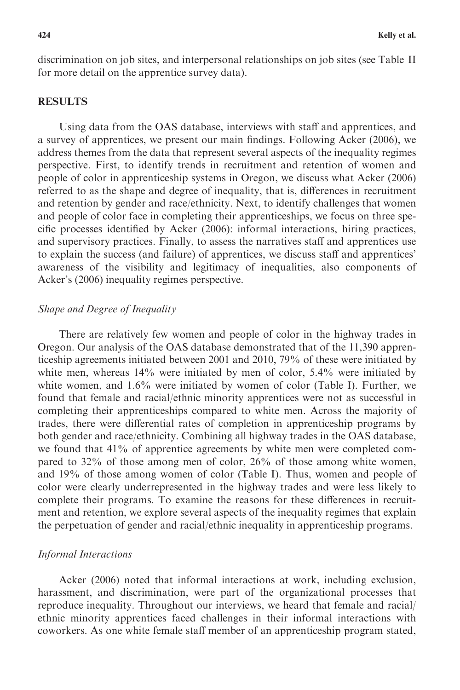discrimination on job sites, and interpersonal relationships on job sites (see Table II for more detail on the apprentice survey data).

# RESULTS

Using data from the OAS database, interviews with staff and apprentices, and a survey of apprentices, we present our main findings. Following Acker (2006), we address themes from the data that represent several aspects of the inequality regimes perspective. First, to identify trends in recruitment and retention of women and people of color in apprenticeship systems in Oregon, we discuss what Acker (2006) referred to as the shape and degree of inequality, that is, differences in recruitment and retention by gender and race/ethnicity. Next, to identify challenges that women and people of color face in completing their apprenticeships, we focus on three specific processes identified by Acker (2006): informal interactions, hiring practices, and supervisory practices. Finally, to assess the narratives staff and apprentices use to explain the success (and failure) of apprentices, we discuss staff and apprentices' awareness of the visibility and legitimacy of inequalities, also components of Acker's (2006) inequality regimes perspective.

# Shape and Degree of Inequality

There are relatively few women and people of color in the highway trades in Oregon. Our analysis of the OAS database demonstrated that of the 11,390 apprenticeship agreements initiated between 2001 and 2010, 79% of these were initiated by white men, whereas 14% were initiated by men of color, 5.4% were initiated by white women, and 1.6% were initiated by women of color (Table I). Further, we found that female and racial/ethnic minority apprentices were not as successful in completing their apprenticeships compared to white men. Across the majority of trades, there were differential rates of completion in apprenticeship programs by both gender and race/ethnicity. Combining all highway trades in the OAS database, we found that 41% of apprentice agreements by white men were completed compared to 32% of those among men of color, 26% of those among white women, and 19% of those among women of color (Table I). Thus, women and people of color were clearly underrepresented in the highway trades and were less likely to complete their programs. To examine the reasons for these differences in recruitment and retention, we explore several aspects of the inequality regimes that explain the perpetuation of gender and racial/ethnic inequality in apprenticeship programs.

# Informal Interactions

Acker (2006) noted that informal interactions at work, including exclusion, harassment, and discrimination, were part of the organizational processes that reproduce inequality. Throughout our interviews, we heard that female and racial/ ethnic minority apprentices faced challenges in their informal interactions with coworkers. As one white female staff member of an apprenticeship program stated,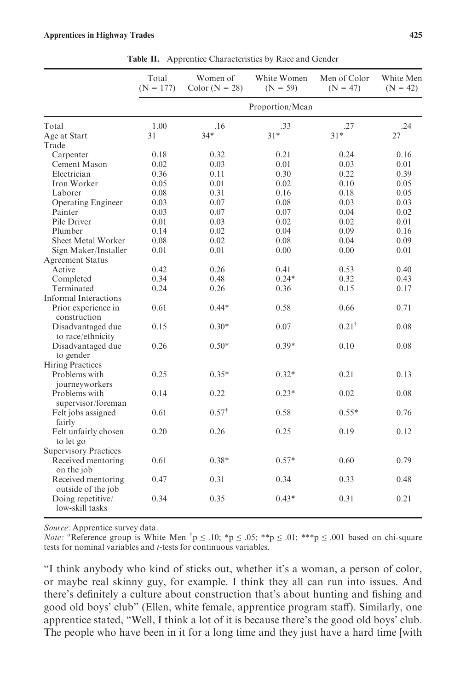|                                                                  | Total<br>$(N = 177)$ | Women of<br>Color ( $N = 28$ ) | White Women<br>$(N = 59)$ | Men of Color<br>$(N = 47)$ | White Men<br>$(N = 42)$ |
|------------------------------------------------------------------|----------------------|--------------------------------|---------------------------|----------------------------|-------------------------|
|                                                                  | Proportion/Mean      |                                |                           |                            |                         |
| Total<br>Age at Start                                            | 1.00<br>31           | .16<br>$34*$                   | .33<br>$31*$              | .27<br>$31*$               | .24<br>27               |
| Trade                                                            |                      |                                |                           |                            |                         |
| Carpenter                                                        | 0.18                 | 0.32                           | 0.21                      | 0.24                       | 0.16                    |
| Cement Mason                                                     | 0.02                 | 0.03                           | 0.01                      | 0.03                       | 0.01                    |
| Electrician                                                      | 0.36                 | 0.11                           | 0.30                      | 0.22                       | 0.39                    |
| Iron Worker                                                      | 0.05                 | 0.01                           | 0.02                      | 0.10                       | 0.05                    |
| Laborer                                                          | 0.08                 | 0.31                           | 0.16                      | 0.18                       | 0.05                    |
| <b>Operating Engineer</b>                                        | 0.03                 | 0.07                           | 0.08                      | 0.03                       | 0.03                    |
| Painter                                                          | 0.03                 | 0.07                           | 0.07                      | 0.04                       | 0.02                    |
| Pile Driver                                                      | 0.01                 | 0.03                           | 0.02                      | 0.02                       | 0.01                    |
| Plumber                                                          | 0.14                 | 0.02                           | 0.04                      | 0.09                       | 0.16                    |
| Sheet Metal Worker                                               | 0.08                 | 0.02                           | 0.08                      | 0.04                       | 0.09                    |
| Sign Maker/Installer                                             | 0.01                 | 0.01                           | 0.00                      | 0.00                       | 0.01                    |
| <b>Agreement Status</b>                                          |                      |                                |                           |                            |                         |
| Active                                                           | 0.42                 | 0.26                           | 0.41                      | 0.53                       | 0.40                    |
| Completed                                                        | 0.34                 | 0.48                           | $0.24*$                   | 0.32                       | 0.43                    |
| Terminated                                                       | 0.24                 | 0.26                           | 0.36                      | 0.15                       | 0.17                    |
| <b>Informal Interactions</b>                                     |                      |                                |                           |                            |                         |
| Prior experience in<br>construction                              | 0.61                 | $0.44*$                        | 0.58                      | 0.66                       | 0.71                    |
| Disadvantaged due<br>to race/ethnicity                           | 0.15                 | $0.30*$                        | 0.07                      | $0.21^{\dagger}$           | 0.08                    |
| Disadvantaged due<br>to gender                                   | 0.26                 | $0.50*$                        | $0.39*$                   | 0.10                       | 0.08                    |
| <b>Hiring Practices</b>                                          |                      |                                |                           |                            |                         |
| Problems with<br>journeyworkers                                  | 0.25                 | $0.35*$                        | $0.32*$                   | 0.21                       | 0.13                    |
| Problems with<br>supervisor/foreman                              | 0.14                 | 0.22                           | $0.23*$                   | 0.02                       | 0.08                    |
| Felt jobs assigned<br>fairly                                     | 0.61                 | $0.57^{\dagger}$               | 0.58                      | $0.55*$                    | 0.76                    |
| Felt unfairly chosen<br>to let go                                | 0.20                 | 0.26                           | 0.25                      | 0.19                       | 0.12                    |
| <b>Supervisory Practices</b><br>Received mentoring<br>on the job | 0.61                 | $0.38*$                        | $0.57*$                   | 0.60                       | 0.79                    |
| Received mentoring<br>outside of the job                         | 0.47                 | 0.31                           | 0.34                      | 0.33                       | 0.48                    |
| Doing repetitive/<br>low-skill tasks                             | 0.34                 | 0.35                           | $0.43*$                   | 0.31                       | 0.21                    |

Table II. Apprentice Characteristics by Race and Gender

Source: Apprentice survey data.

*Note:* <sup>a</sup>Reference group is White Men <sup>†</sup>p  $\leq$  .10; \*p  $\leq$  .05; \*\*p  $\leq$  .01; \*\*\*p  $\leq$  .001 based on chi-square tests for nominal variables and t-tests for continuous variables.

"I think anybody who kind of sticks out, whether it's a woman, a person of color, or maybe real skinny guy, for example. I think they all can run into issues. And there's definitely a culture about construction that's about hunting and fishing and good old boys' club" (Ellen, white female, apprentice program staff). Similarly, one apprentice stated, "Well, I think a lot of it is because there's the good old boys' club. The people who have been in it for a long time and they just have a hard time [with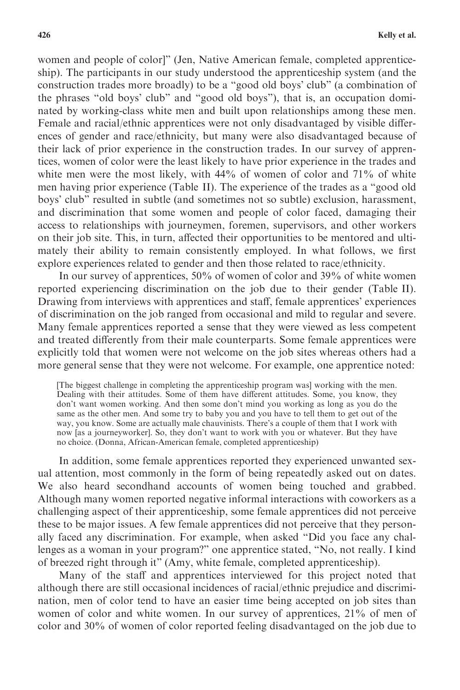women and people of color]" (Jen, Native American female, completed apprenticeship). The participants in our study understood the apprenticeship system (and the construction trades more broadly) to be a "good old boys' club" (a combination of the phrases "old boys' club" and "good old boys"), that is, an occupation dominated by working-class white men and built upon relationships among these men. Female and racial/ethnic apprentices were not only disadvantaged by visible differences of gender and race/ethnicity, but many were also disadvantaged because of their lack of prior experience in the construction trades. In our survey of apprentices, women of color were the least likely to have prior experience in the trades and white men were the most likely, with 44% of women of color and 71% of white men having prior experience (Table II). The experience of the trades as a "good old boys' club" resulted in subtle (and sometimes not so subtle) exclusion, harassment, and discrimination that some women and people of color faced, damaging their access to relationships with journeymen, foremen, supervisors, and other workers on their job site. This, in turn, affected their opportunities to be mentored and ultimately their ability to remain consistently employed. In what follows, we first explore experiences related to gender and then those related to race/ethnicity.

In our survey of apprentices, 50% of women of color and 39% of white women reported experiencing discrimination on the job due to their gender (Table II). Drawing from interviews with apprentices and staff, female apprentices' experiences of discrimination on the job ranged from occasional and mild to regular and severe. Many female apprentices reported a sense that they were viewed as less competent and treated differently from their male counterparts. Some female apprentices were explicitly told that women were not welcome on the job sites whereas others had a more general sense that they were not welcome. For example, one apprentice noted:

[The biggest challenge in completing the apprenticeship program was] working with the men. Dealing with their attitudes. Some of them have different attitudes. Some, you know, they don't want women working. And then some don't mind you working as long as you do the same as the other men. And some try to baby you and you have to tell them to get out of the way, you know. Some are actually male chauvinists. There's a couple of them that I work with now [as a journeyworker]. So, they don't want to work with you or whatever. But they have no choice. (Donna, African-American female, completed apprenticeship)

In addition, some female apprentices reported they experienced unwanted sexual attention, most commonly in the form of being repeatedly asked out on dates. We also heard secondhand accounts of women being touched and grabbed. Although many women reported negative informal interactions with coworkers as a challenging aspect of their apprenticeship, some female apprentices did not perceive these to be major issues. A few female apprentices did not perceive that they personally faced any discrimination. For example, when asked "Did you face any challenges as a woman in your program?" one apprentice stated, "No, not really. I kind of breezed right through it" (Amy, white female, completed apprenticeship).

Many of the staff and apprentices interviewed for this project noted that although there are still occasional incidences of racial/ethnic prejudice and discrimination, men of color tend to have an easier time being accepted on job sites than women of color and white women. In our survey of apprentices, 21% of men of color and 30% of women of color reported feeling disadvantaged on the job due to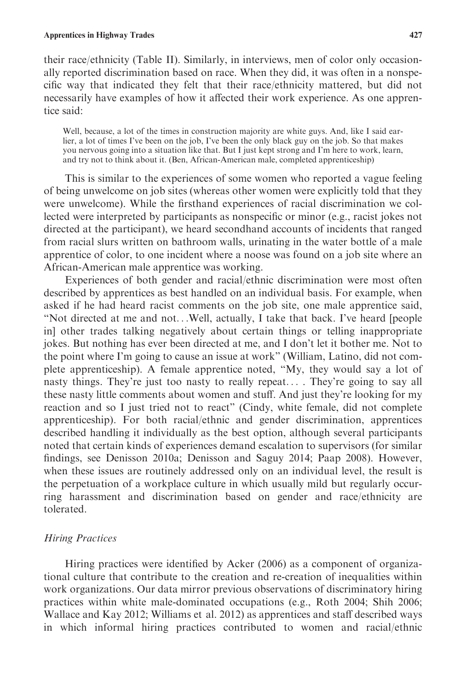their race/ethnicity (Table II). Similarly, in interviews, men of color only occasionally reported discrimination based on race. When they did, it was often in a nonspecific way that indicated they felt that their race/ethnicity mattered, but did not necessarily have examples of how it affected their work experience. As one apprentice said:

Well, because, a lot of the times in construction majority are white guys. And, like I said earlier, a lot of times I've been on the job, I've been the only black guy on the job. So that makes you nervous going into a situation like that. But I just kept strong and I'm here to work, learn, and try not to think about it. (Ben, African-American male, completed apprenticeship)

This is similar to the experiences of some women who reported a vague feeling of being unwelcome on job sites (whereas other women were explicitly told that they were unwelcome). While the firsthand experiences of racial discrimination we collected were interpreted by participants as nonspecific or minor (e.g., racist jokes not directed at the participant), we heard secondhand accounts of incidents that ranged from racial slurs written on bathroom walls, urinating in the water bottle of a male apprentice of color, to one incident where a noose was found on a job site where an African-American male apprentice was working.

Experiences of both gender and racial/ethnic discrimination were most often described by apprentices as best handled on an individual basis. For example, when asked if he had heard racist comments on the job site, one male apprentice said, "Not directed at me and not...Well, actually, I take that back. I've heard [people in] other trades talking negatively about certain things or telling inappropriate jokes. But nothing has ever been directed at me, and I don't let it bother me. Not to the point where I'm going to cause an issue at work" (William, Latino, did not complete apprenticeship). A female apprentice noted, "My, they would say a lot of nasty things. They're just too nasty to really repeat... . They're going to say all these nasty little comments about women and stuff. And just they're looking for my reaction and so I just tried not to react" (Cindy, white female, did not complete apprenticeship). For both racial/ethnic and gender discrimination, apprentices described handling it individually as the best option, although several participants noted that certain kinds of experiences demand escalation to supervisors (for similar findings, see Denisson 2010a; Denisson and Saguy 2014; Paap 2008). However, when these issues are routinely addressed only on an individual level, the result is the perpetuation of a workplace culture in which usually mild but regularly occurring harassment and discrimination based on gender and race/ethnicity are tolerated.

#### Hiring Practices

Hiring practices were identified by Acker (2006) as a component of organizational culture that contribute to the creation and re-creation of inequalities within work organizations. Our data mirror previous observations of discriminatory hiring practices within white male-dominated occupations (e.g., Roth 2004; Shih 2006; Wallace and Kay 2012; Williams et al. 2012) as apprentices and staff described ways in which informal hiring practices contributed to women and racial/ethnic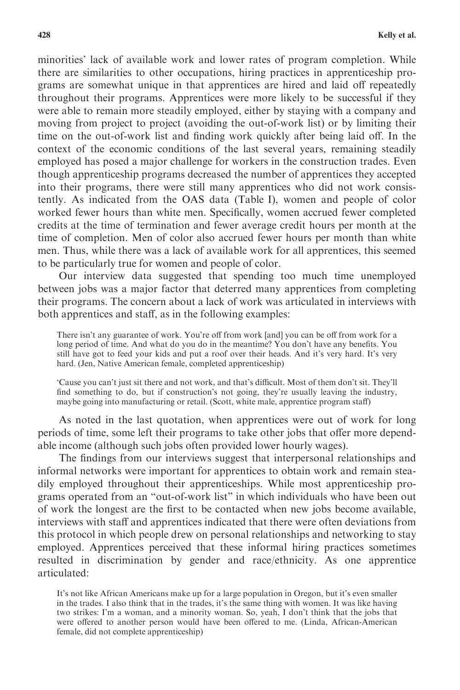minorities' lack of available work and lower rates of program completion. While there are similarities to other occupations, hiring practices in apprenticeship programs are somewhat unique in that apprentices are hired and laid off repeatedly throughout their programs. Apprentices were more likely to be successful if they were able to remain more steadily employed, either by staying with a company and moving from project to project (avoiding the out-of-work list) or by limiting their time on the out-of-work list and finding work quickly after being laid off. In the context of the economic conditions of the last several years, remaining steadily employed has posed a major challenge for workers in the construction trades. Even though apprenticeship programs decreased the number of apprentices they accepted into their programs, there were still many apprentices who did not work consistently. As indicated from the OAS data (Table I), women and people of color worked fewer hours than white men. Specifically, women accrued fewer completed credits at the time of termination and fewer average credit hours per month at the time of completion. Men of color also accrued fewer hours per month than white men. Thus, while there was a lack of available work for all apprentices, this seemed to be particularly true for women and people of color.

Our interview data suggested that spending too much time unemployed between jobs was a major factor that deterred many apprentices from completing their programs. The concern about a lack of work was articulated in interviews with both apprentices and staff, as in the following examples:

There isn't any guarantee of work. You're off from work [and] you can be off from work for a long period of time. And what do you do in the meantime? You don't have any benefits. You still have got to feed your kids and put a roof over their heads. And it's very hard. It's very hard. (Jen, Native American female, completed apprenticeship)

'Cause you can't just sit there and not work, and that's difficult. Most of them don't sit. They'll find something to do, but if construction's not going, they're usually leaving the industry, maybe going into manufacturing or retail. (Scott, white male, apprentice program staff)

As noted in the last quotation, when apprentices were out of work for long periods of time, some left their programs to take other jobs that offer more dependable income (although such jobs often provided lower hourly wages).

The findings from our interviews suggest that interpersonal relationships and informal networks were important for apprentices to obtain work and remain steadily employed throughout their apprenticeships. While most apprenticeship programs operated from an "out-of-work list" in which individuals who have been out of work the longest are the first to be contacted when new jobs become available, interviews with staff and apprentices indicated that there were often deviations from this protocol in which people drew on personal relationships and networking to stay employed. Apprentices perceived that these informal hiring practices sometimes resulted in discrimination by gender and race/ethnicity. As one apprentice articulated:

It's not like African Americans make up for a large population in Oregon, but it's even smaller in the trades. I also think that in the trades, it's the same thing with women. It was like having two strikes: I'm a woman, and a minority woman. So, yeah, I don't think that the jobs that were offered to another person would have been offered to me. (Linda, African-American female, did not complete apprenticeship)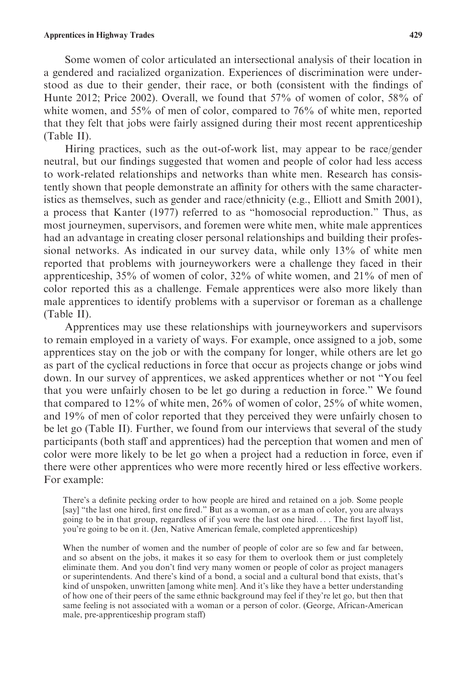Some women of color articulated an intersectional analysis of their location in a gendered and racialized organization. Experiences of discrimination were understood as due to their gender, their race, or both (consistent with the findings of Hunte 2012; Price 2002). Overall, we found that 57% of women of color, 58% of white women, and 55% of men of color, compared to 76% of white men, reported that they felt that jobs were fairly assigned during their most recent apprenticeship (Table II).

Hiring practices, such as the out-of-work list, may appear to be race/gender neutral, but our findings suggested that women and people of color had less access to work-related relationships and networks than white men. Research has consistently shown that people demonstrate an affinity for others with the same characteristics as themselves, such as gender and race/ethnicity (e.g., Elliott and Smith 2001), a process that Kanter (1977) referred to as "homosocial reproduction." Thus, as most journeymen, supervisors, and foremen were white men, white male apprentices had an advantage in creating closer personal relationships and building their professional networks. As indicated in our survey data, while only 13% of white men reported that problems with journeyworkers were a challenge they faced in their apprenticeship, 35% of women of color, 32% of white women, and 21% of men of color reported this as a challenge. Female apprentices were also more likely than male apprentices to identify problems with a supervisor or foreman as a challenge (Table II).

Apprentices may use these relationships with journeyworkers and supervisors to remain employed in a variety of ways. For example, once assigned to a job, some apprentices stay on the job or with the company for longer, while others are let go as part of the cyclical reductions in force that occur as projects change or jobs wind down. In our survey of apprentices, we asked apprentices whether or not "You feel that you were unfairly chosen to be let go during a reduction in force." We found that compared to 12% of white men, 26% of women of color, 25% of white women, and 19% of men of color reported that they perceived they were unfairly chosen to be let go (Table II). Further, we found from our interviews that several of the study participants (both staff and apprentices) had the perception that women and men of color were more likely to be let go when a project had a reduction in force, even if there were other apprentices who were more recently hired or less effective workers. For example:

There's a definite pecking order to how people are hired and retained on a job. Some people [say] "the last one hired, first one fired." But as a woman, or as a man of color, you are always going to be in that group, regardless of if you were the last one hired... . The first layoff list, you're going to be on it. (Jen, Native American female, completed apprenticeship)

When the number of women and the number of people of color are so few and far between, and so absent on the jobs, it makes it so easy for them to overlook them or just completely eliminate them. And you don't find very many women or people of color as project managers or superintendents. And there's kind of a bond, a social and a cultural bond that exists, that's kind of unspoken, unwritten [among white men]. And it's like they have a better understanding of how one of their peers of the same ethnic background may feel if they're let go, but then that same feeling is not associated with a woman or a person of color. (George, African-American male, pre-apprenticeship program staff)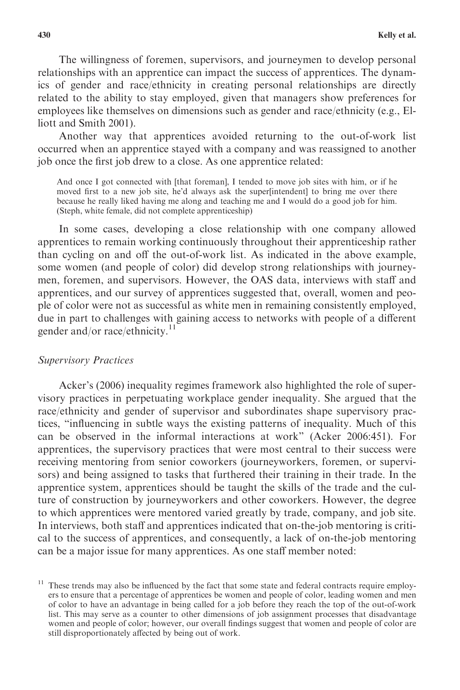The willingness of foremen, supervisors, and journeymen to develop personal relationships with an apprentice can impact the success of apprentices. The dynamics of gender and race/ethnicity in creating personal relationships are directly related to the ability to stay employed, given that managers show preferences for employees like themselves on dimensions such as gender and race/ethnicity (e.g., Elliott and Smith 2001).

Another way that apprentices avoided returning to the out-of-work list occurred when an apprentice stayed with a company and was reassigned to another job once the first job drew to a close. As one apprentice related:

And once I got connected with [that foreman], I tended to move job sites with him, or if he moved first to a new job site, he'd always ask the super[intendent] to bring me over there because he really liked having me along and teaching me and I would do a good job for him. (Steph, white female, did not complete apprenticeship)

In some cases, developing a close relationship with one company allowed apprentices to remain working continuously throughout their apprenticeship rather than cycling on and off the out-of-work list. As indicated in the above example, some women (and people of color) did develop strong relationships with journeymen, foremen, and supervisors. However, the OAS data, interviews with staff and apprentices, and our survey of apprentices suggested that, overall, women and people of color were not as successful as white men in remaining consistently employed, due in part to challenges with gaining access to networks with people of a different gender and/or race/ethnicity. $11$ 

# Supervisory Practices

Acker's (2006) inequality regimes framework also highlighted the role of supervisory practices in perpetuating workplace gender inequality. She argued that the race/ethnicity and gender of supervisor and subordinates shape supervisory practices, "influencing in subtle ways the existing patterns of inequality. Much of this can be observed in the informal interactions at work" (Acker 2006:451). For apprentices, the supervisory practices that were most central to their success were receiving mentoring from senior coworkers (journeyworkers, foremen, or supervisors) and being assigned to tasks that furthered their training in their trade. In the apprentice system, apprentices should be taught the skills of the trade and the culture of construction by journeyworkers and other coworkers. However, the degree to which apprentices were mentored varied greatly by trade, company, and job site. In interviews, both staff and apprentices indicated that on-the-job mentoring is critical to the success of apprentices, and consequently, a lack of on-the-job mentoring can be a major issue for many apprentices. As one staff member noted:

 $11$  These trends may also be influenced by the fact that some state and federal contracts require employers to ensure that a percentage of apprentices be women and people of color, leading women and men of color to have an advantage in being called for a job before they reach the top of the out-of-work list. This may serve as a counter to other dimensions of job assignment processes that disadvantage women and people of color; however, our overall findings suggest that women and people of color are still disproportionately affected by being out of work.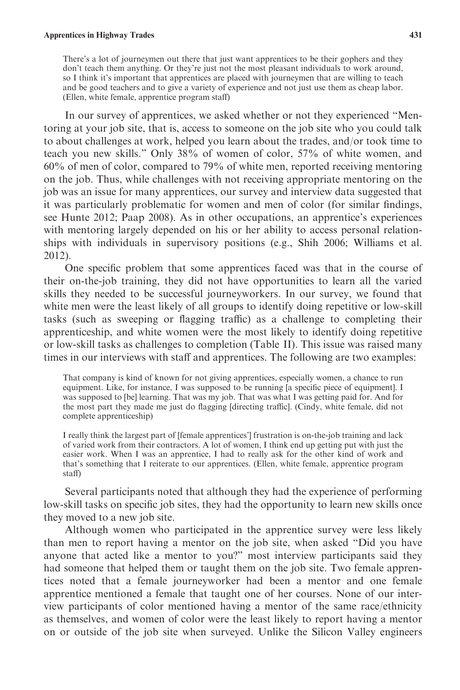There's a lot of journeymen out there that just want apprentices to be their gophers and they don't teach them anything. Or they're just not the most pleasant individuals to work around, so I think it's important that apprentices are placed with journeymen that are willing to teach and be good teachers and to give a variety of experience and not just use them as cheap labor. (Ellen, white female, apprentice program staff)

In our survey of apprentices, we asked whether or not they experienced "Mentoring at your job site, that is, access to someone on the job site who you could talk to about challenges at work, helped you learn about the trades, and/or took time to teach you new skills." Only 38% of women of color, 57% of white women, and 60% of men of color, compared to 79% of white men, reported receiving mentoring on the job. Thus, while challenges with not receiving appropriate mentoring on the job was an issue for many apprentices, our survey and interview data suggested that it was particularly problematic for women and men of color (for similar findings, see Hunte 2012; Paap 2008). As in other occupations, an apprentice's experiences with mentoring largely depended on his or her ability to access personal relationships with individuals in supervisory positions (e.g., Shih 2006; Williams et al. 2012).

One specific problem that some apprentices faced was that in the course of their on-the-job training, they did not have opportunities to learn all the varied skills they needed to be successful journeyworkers. In our survey, we found that white men were the least likely of all groups to identify doing repetitive or low-skill tasks (such as sweeping or flagging traffic) as a challenge to completing their apprenticeship, and white women were the most likely to identify doing repetitive or low-skill tasks as challenges to completion (Table II). This issue was raised many times in our interviews with staff and apprentices. The following are two examples:

That company is kind of known for not giving apprentices, especially women, a chance to run equipment. Like, for instance, I was supposed to be running [a specific piece of equipment]. I was supposed to [be] learning. That was my job. That was what I was getting paid for. And for the most part they made me just do flagging [directing traffic]. (Cindy, white female, did not complete apprenticeship)

I really think the largest part of [female apprentices'] frustration is on-the-job training and lack of varied work from their contractors. A lot of women, I think end up getting put with just the easier work. When I was an apprentice, I had to really ask for the other kind of work and that's something that I reiterate to our apprentices. (Ellen, white female, apprentice program staff)

Several participants noted that although they had the experience of performing low-skill tasks on specific job sites, they had the opportunity to learn new skills once they moved to a new job site.

Although women who participated in the apprentice survey were less likely than men to report having a mentor on the job site, when asked "Did you have anyone that acted like a mentor to you?" most interview participants said they had someone that helped them or taught them on the job site. Two female apprentices noted that a female journeyworker had been a mentor and one female apprentice mentioned a female that taught one of her courses. None of our interview participants of color mentioned having a mentor of the same race/ethnicity as themselves, and women of color were the least likely to report having a mentor on or outside of the job site when surveyed. Unlike the Silicon Valley engineers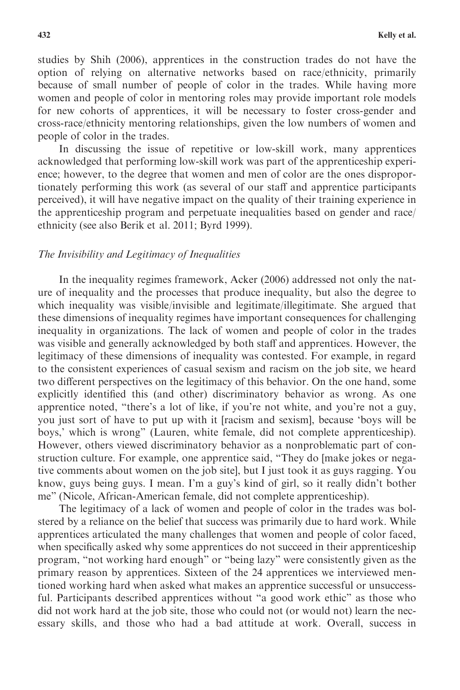studies by Shih (2006), apprentices in the construction trades do not have the option of relying on alternative networks based on race/ethnicity, primarily because of small number of people of color in the trades. While having more women and people of color in mentoring roles may provide important role models for new cohorts of apprentices, it will be necessary to foster cross-gender and cross-race/ethnicity mentoring relationships, given the low numbers of women and people of color in the trades.

In discussing the issue of repetitive or low-skill work, many apprentices acknowledged that performing low-skill work was part of the apprenticeship experience; however, to the degree that women and men of color are the ones disproportionately performing this work (as several of our staff and apprentice participants perceived), it will have negative impact on the quality of their training experience in the apprenticeship program and perpetuate inequalities based on gender and race/ ethnicity (see also Berik et al. 2011; Byrd 1999).

#### The Invisibility and Legitimacy of Inequalities

In the inequality regimes framework, Acker (2006) addressed not only the nature of inequality and the processes that produce inequality, but also the degree to which inequality was visible/invisible and legitimate/illegitimate. She argued that these dimensions of inequality regimes have important consequences for challenging inequality in organizations. The lack of women and people of color in the trades was visible and generally acknowledged by both staff and apprentices. However, the legitimacy of these dimensions of inequality was contested. For example, in regard to the consistent experiences of casual sexism and racism on the job site, we heard two different perspectives on the legitimacy of this behavior. On the one hand, some explicitly identified this (and other) discriminatory behavior as wrong. As one apprentice noted, "there's a lot of like, if you're not white, and you're not a guy, you just sort of have to put up with it [racism and sexism], because 'boys will be boys,' which is wrong" (Lauren, white female, did not complete apprenticeship). However, others viewed discriminatory behavior as a nonproblematic part of construction culture. For example, one apprentice said, "They do [make jokes or negative comments about women on the job site], but I just took it as guys ragging. You know, guys being guys. I mean. I'm a guy's kind of girl, so it really didn't bother me" (Nicole, African-American female, did not complete apprenticeship).

The legitimacy of a lack of women and people of color in the trades was bolstered by a reliance on the belief that success was primarily due to hard work. While apprentices articulated the many challenges that women and people of color faced, when specifically asked why some apprentices do not succeed in their apprenticeship program, "not working hard enough" or "being lazy" were consistently given as the primary reason by apprentices. Sixteen of the 24 apprentices we interviewed mentioned working hard when asked what makes an apprentice successful or unsuccessful. Participants described apprentices without "a good work ethic" as those who did not work hard at the job site, those who could not (or would not) learn the necessary skills, and those who had a bad attitude at work. Overall, success in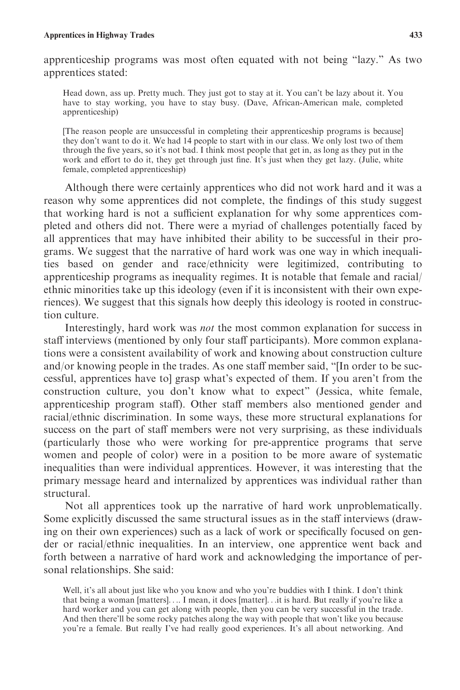Head down, ass up. Pretty much. They just got to stay at it. You can't be lazy about it. You have to stay working, you have to stay busy. (Dave, African-American male, completed apprenticeship)

[The reason people are unsuccessful in completing their apprenticeship programs is because] they don't want to do it. We had 14 people to start with in our class. We only lost two of them through the five years, so it's not bad. I think most people that get in, as long as they put in the work and effort to do it, they get through just fine. It's just when they get lazy. (Julie, white female, completed apprenticeship)

Although there were certainly apprentices who did not work hard and it was a reason why some apprentices did not complete, the findings of this study suggest that working hard is not a sufficient explanation for why some apprentices completed and others did not. There were a myriad of challenges potentially faced by all apprentices that may have inhibited their ability to be successful in their programs. We suggest that the narrative of hard work was one way in which inequalities based on gender and race/ethnicity were legitimized, contributing to apprenticeship programs as inequality regimes. It is notable that female and racial/ ethnic minorities take up this ideology (even if it is inconsistent with their own experiences). We suggest that this signals how deeply this ideology is rooted in construction culture.

Interestingly, hard work was not the most common explanation for success in staff interviews (mentioned by only four staff participants). More common explanations were a consistent availability of work and knowing about construction culture and/or knowing people in the trades. As one staff member said, "[In order to be successful, apprentices have to] grasp what's expected of them. If you aren't from the construction culture, you don't know what to expect" (Jessica, white female, apprenticeship program staff). Other staff members also mentioned gender and racial/ethnic discrimination. In some ways, these more structural explanations for success on the part of staff members were not very surprising, as these individuals (particularly those who were working for pre-apprentice programs that serve women and people of color) were in a position to be more aware of systematic inequalities than were individual apprentices. However, it was interesting that the primary message heard and internalized by apprentices was individual rather than structural.

Not all apprentices took up the narrative of hard work unproblematically. Some explicitly discussed the same structural issues as in the staff interviews (drawing on their own experiences) such as a lack of work or specifically focused on gender or racial/ethnic inequalities. In an interview, one apprentice went back and forth between a narrative of hard work and acknowledging the importance of personal relationships. She said:

Well, it's all about just like who you know and who you're buddies with I think. I don't think that being a woman [matters].... I mean, it does [matter]...it is hard. But really if you're like a hard worker and you can get along with people, then you can be very successful in the trade. And then there'll be some rocky patches along the way with people that won't like you because you're a female. But really I've had really good experiences. It's all about networking. And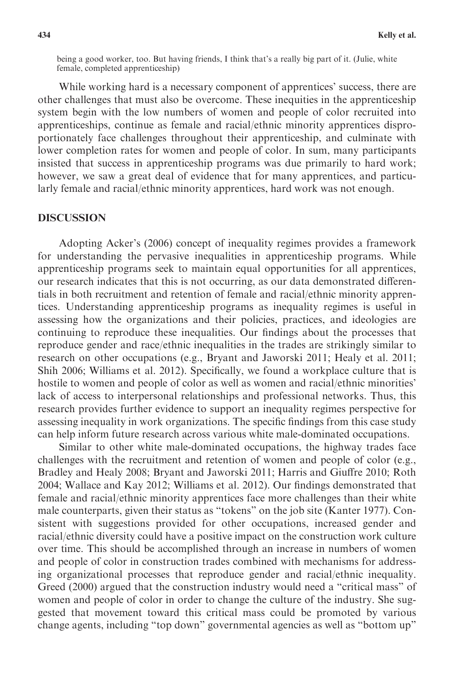being a good worker, too. But having friends, I think that's a really big part of it. (Julie, white female, completed apprenticeship)

While working hard is a necessary component of apprentices' success, there are other challenges that must also be overcome. These inequities in the apprenticeship system begin with the low numbers of women and people of color recruited into apprenticeships, continue as female and racial/ethnic minority apprentices disproportionately face challenges throughout their apprenticeship, and culminate with lower completion rates for women and people of color. In sum, many participants insisted that success in apprenticeship programs was due primarily to hard work; however, we saw a great deal of evidence that for many apprentices, and particularly female and racial/ethnic minority apprentices, hard work was not enough.

# DISCUSSION

Adopting Acker's (2006) concept of inequality regimes provides a framework for understanding the pervasive inequalities in apprenticeship programs. While apprenticeship programs seek to maintain equal opportunities for all apprentices, our research indicates that this is not occurring, as our data demonstrated differentials in both recruitment and retention of female and racial/ethnic minority apprentices. Understanding apprenticeship programs as inequality regimes is useful in assessing how the organizations and their policies, practices, and ideologies are continuing to reproduce these inequalities. Our findings about the processes that reproduce gender and race/ethnic inequalities in the trades are strikingly similar to research on other occupations (e.g., Bryant and Jaworski 2011; Healy et al. 2011; Shih 2006; Williams et al. 2012). Specifically, we found a workplace culture that is hostile to women and people of color as well as women and racial/ethnic minorities' lack of access to interpersonal relationships and professional networks. Thus, this research provides further evidence to support an inequality regimes perspective for assessing inequality in work organizations. The specific findings from this case study can help inform future research across various white male-dominated occupations.

Similar to other white male-dominated occupations, the highway trades face challenges with the recruitment and retention of women and people of color (e.g., Bradley and Healy 2008; Bryant and Jaworski 2011; Harris and Giuffre 2010; Roth 2004; Wallace and Kay 2012; Williams et al. 2012). Our findings demonstrated that female and racial/ethnic minority apprentices face more challenges than their white male counterparts, given their status as "tokens" on the job site (Kanter 1977). Consistent with suggestions provided for other occupations, increased gender and racial/ethnic diversity could have a positive impact on the construction work culture over time. This should be accomplished through an increase in numbers of women and people of color in construction trades combined with mechanisms for addressing organizational processes that reproduce gender and racial/ethnic inequality. Greed (2000) argued that the construction industry would need a "critical mass" of women and people of color in order to change the culture of the industry. She suggested that movement toward this critical mass could be promoted by various change agents, including "top down" governmental agencies as well as "bottom up"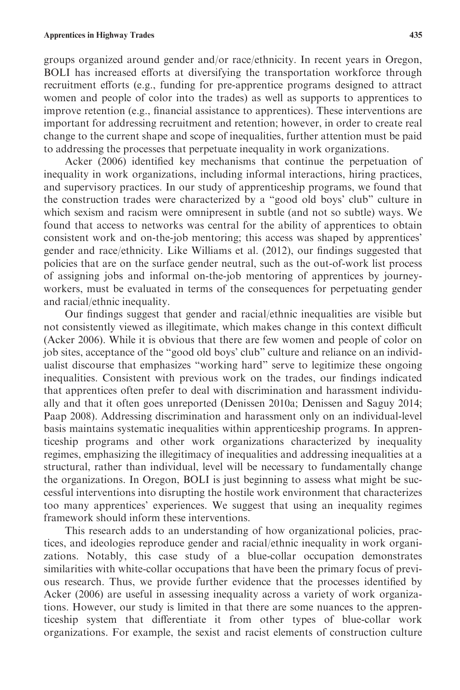groups organized around gender and/or race/ethnicity. In recent years in Oregon, BOLI has increased efforts at diversifying the transportation workforce through recruitment efforts (e.g., funding for pre-apprentice programs designed to attract women and people of color into the trades) as well as supports to apprentices to improve retention (e.g., financial assistance to apprentices). These interventions are important for addressing recruitment and retention; however, in order to create real change to the current shape and scope of inequalities, further attention must be paid to addressing the processes that perpetuate inequality in work organizations.

Acker (2006) identified key mechanisms that continue the perpetuation of inequality in work organizations, including informal interactions, hiring practices, and supervisory practices. In our study of apprenticeship programs, we found that the construction trades were characterized by a "good old boys' club" culture in which sexism and racism were omnipresent in subtle (and not so subtle) ways. We found that access to networks was central for the ability of apprentices to obtain consistent work and on-the-job mentoring; this access was shaped by apprentices' gender and race/ethnicity. Like Williams et al. (2012), our findings suggested that policies that are on the surface gender neutral, such as the out-of-work list process of assigning jobs and informal on-the-job mentoring of apprentices by journeyworkers, must be evaluated in terms of the consequences for perpetuating gender and racial/ethnic inequality.

Our findings suggest that gender and racial/ethnic inequalities are visible but not consistently viewed as illegitimate, which makes change in this context difficult (Acker 2006). While it is obvious that there are few women and people of color on job sites, acceptance of the "good old boys' club" culture and reliance on an individualist discourse that emphasizes "working hard" serve to legitimize these ongoing inequalities. Consistent with previous work on the trades, our findings indicated that apprentices often prefer to deal with discrimination and harassment individually and that it often goes unreported (Denissen 2010a; Denissen and Saguy 2014; Paap 2008). Addressing discrimination and harassment only on an individual-level basis maintains systematic inequalities within apprenticeship programs. In apprenticeship programs and other work organizations characterized by inequality regimes, emphasizing the illegitimacy of inequalities and addressing inequalities at a structural, rather than individual, level will be necessary to fundamentally change the organizations. In Oregon, BOLI is just beginning to assess what might be successful interventions into disrupting the hostile work environment that characterizes too many apprentices' experiences. We suggest that using an inequality regimes framework should inform these interventions.

This research adds to an understanding of how organizational policies, practices, and ideologies reproduce gender and racial/ethnic inequality in work organizations. Notably, this case study of a blue-collar occupation demonstrates similarities with white-collar occupations that have been the primary focus of previous research. Thus, we provide further evidence that the processes identified by Acker (2006) are useful in assessing inequality across a variety of work organizations. However, our study is limited in that there are some nuances to the apprenticeship system that differentiate it from other types of blue-collar work organizations. For example, the sexist and racist elements of construction culture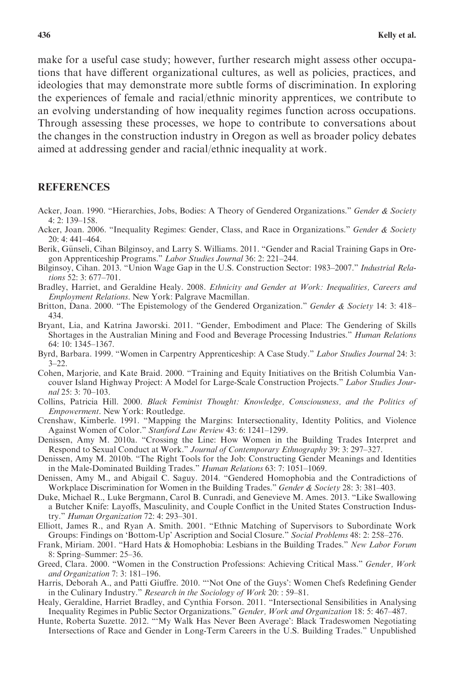make for a useful case study; however, further research might assess other occupations that have different organizational cultures, as well as policies, practices, and ideologies that may demonstrate more subtle forms of discrimination. In exploring the experiences of female and racial/ethnic minority apprentices, we contribute to an evolving understanding of how inequality regimes function across occupations. Through assessing these processes, we hope to contribute to conversations about the changes in the construction industry in Oregon as well as broader policy debates aimed at addressing gender and racial/ethnic inequality at work.

# REFERENCES

- Acker, Joan. 1990. "Hierarchies, Jobs, Bodies: A Theory of Gendered Organizations." Gender & Society 4: 2: 139–158.
- Acker, Joan. 2006. "Inequality Regimes: Gender, Class, and Race in Organizations." Gender & Society 20: 4: 441–464.
- Berik, Günseli, Cihan Bilginsoy, and Larry S. Williams. 2011. "Gender and Racial Training Gaps in Oregon Apprenticeship Programs." Labor Studies Journal 36: 2: 221–244.
- Bilginsoy, Cihan. 2013. "Union Wage Gap in the U.S. Construction Sector: 1983–2007." Industrial Relations 52: 3: 677–701.
- Bradley, Harriet, and Geraldine Healy. 2008. Ethnicity and Gender at Work: Inequalities, Careers and Employment Relations. New York: Palgrave Macmillan.
- Britton, Dana. 2000. "The Epistemology of the Gendered Organization." Gender & Society 14: 3: 418– 434.
- Bryant, Lia, and Katrina Jaworski. 2011. "Gender, Embodiment and Place: The Gendering of Skills Shortages in the Australian Mining and Food and Beverage Processing Industries." Human Relations 64: 10: 1345–1367.
- Byrd, Barbara. 1999. "Women in Carpentry Apprenticeship: A Case Study." Labor Studies Journal 24: 3:  $3 - 22$ .
- Cohen, Marjorie, and Kate Braid. 2000. "Training and Equity Initiatives on the British Columbia Vancouver Island Highway Project: A Model for Large-Scale Construction Projects." Labor Studies Journal 25: 3: 70–103.
- Collins, Patricia Hill. 2000. Black Feminist Thought: Knowledge, Consciousness, and the Politics of Empowerment. New York: Routledge.
- Crenshaw, Kimberle. 1991. "Mapping the Margins: Intersectionality, Identity Politics, and Violence Against Women of Color." Stanford Law Review 43: 6: 1241–1299.
- Denissen, Amy M. 2010a. "Crossing the Line: How Women in the Building Trades Interpret and Respond to Sexual Conduct at Work." Journal of Contemporary Ethnography 39: 3: 297–327.
- Denissen, Amy M. 2010b. "The Right Tools for the Job: Constructing Gender Meanings and Identities in the Male-Dominated Building Trades." Human Relations 63: 7: 1051–1069.
- Denissen, Amy M., and Abigail C. Saguy. 2014. "Gendered Homophobia and the Contradictions of Workplace Discrimination for Women in the Building Trades." Gender & Society 28: 3: 381–403.
- Duke, Michael R., Luke Bergmann, Carol B. Cunradi, and Genevieve M. Ames. 2013. "Like Swallowing a Butcher Knife: Layoffs, Masculinity, and Couple Conflict in the United States Construction Industry." Human Organization 72: 4: 293–301.
- Elliott, James R., and Ryan A. Smith. 2001. "Ethnic Matching of Supervisors to Subordinate Work Groups: Findings on 'Bottom-Up' Ascription and Social Closure." Social Problems 48: 2: 258–276.
- Frank, Miriam. 2001. "Hard Hats & Homophobia: Lesbians in the Building Trades." New Labor Forum 8: Spring–Summer: 25–36.
- Greed, Clara. 2000. "Women in the Construction Professions: Achieving Critical Mass." Gender, Work and Organization 7: 3: 181–196.
- Harris, Deborah A., and Patti Giuffre. 2010. "'Not One of the Guys': Women Chefs Redefining Gender in the Culinary Industry." Research in the Sociology of Work 20: : 59–81.
- Healy, Geraldine, Harriet Bradley, and Cynthia Forson. 2011. "Intersectional Sensibilities in Analysing Inequality Regimes in Public Sector Organizations." Gender, Work and Organization 18: 5: 467–487.
- Hunte, Roberta Suzette. 2012. "'My Walk Has Never Been Average': Black Tradeswomen Negotiating Intersections of Race and Gender in Long-Term Careers in the U.S. Building Trades." Unpublished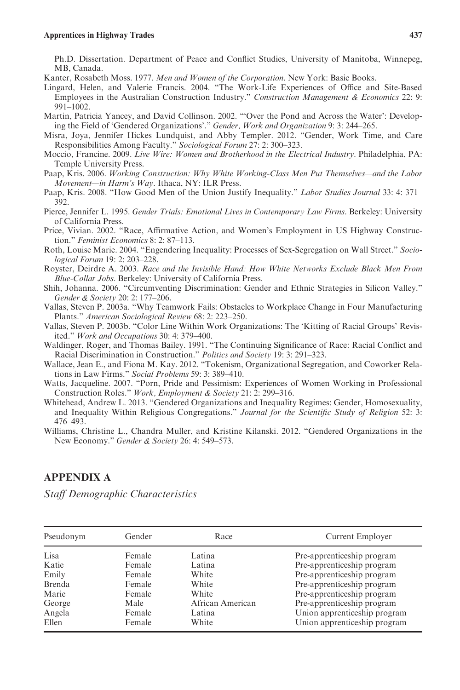Ph.D. Dissertation. Department of Peace and Conflict Studies, University of Manitoba, Winnepeg, MB, Canada.

Kanter, Rosabeth Moss. 1977. Men and Women of the Corporation. New York: Basic Books.

- Lingard, Helen, and Valerie Francis. 2004. "The Work-Life Experiences of Office and Site-Based Employees in the Australian Construction Industry." Construction Management & Economics 22: 9: 991–1002.
- Martin, Patricia Yancey, and David Collinson. 2002. "'Over the Pond and Across the Water': Developing the Field of 'Gendered Organizations'." Gender, Work and Organization 9: 3: 244–265.
- Misra, Joya, Jennifer Hickes Lundquist, and Abby Templer. 2012. "Gender, Work Time, and Care Responsibilities Among Faculty." Sociological Forum 27: 2: 300–323.
- Moccio, Francine. 2009. Live Wire: Women and Brotherhood in the Electrical Industry. Philadelphia, PA: Temple University Press.
- Paap, Kris. 2006. Working Construction: Why White Working-Class Men Put Themselves—and the Labor Movement—in Harm's Way. Ithaca, NY: ILR Press.
- Paap, Kris. 2008. "How Good Men of the Union Justify Inequality." Labor Studies Journal 33: 4: 371-392.
- Pierce, Jennifer L. 1995. Gender Trials: Emotional Lives in Contemporary Law Firms. Berkeley: University of California Press.
- Price, Vivian. 2002. "Race, Affirmative Action, and Women's Employment in US Highway Construction." Feminist Economics 8: 2: 87–113.
- Roth, Louise Marie. 2004. "Engendering Inequality: Processes of Sex-Segregation on Wall Street." Sociological Forum 19: 2: 203–228.
- Royster, Deirdre A. 2003. Race and the Invisible Hand: How White Networks Exclude Black Men From Blue-Collar Jobs. Berkeley: University of California Press.
- Shih, Johanna. 2006. "Circumventing Discrimination: Gender and Ethnic Strategies in Silicon Valley." Gender & Society 20: 2: 177–206.
- Vallas, Steven P. 2003a. "Why Teamwork Fails: Obstacles to Workplace Change in Four Manufacturing Plants." American Sociological Review 68: 2: 223–250.
- Vallas, Steven P. 2003b. "Color Line Within Work Organizations: The 'Kitting of Racial Groups' Revisited." Work and Occupations 30: 4: 379–400.
- Waldinger, Roger, and Thomas Bailey. 1991. "The Continuing Significance of Race: Racial Conflict and Racial Discrimination in Construction." Politics and Society 19: 3: 291-323.
- Wallace, Jean E., and Fiona M. Kay. 2012. "Tokenism, Organizational Segregation, and Coworker Relations in Law Firms." Social Problems 59: 3: 389-410.
- Watts, Jacqueline. 2007. "Porn, Pride and Pessimism: Experiences of Women Working in Professional Construction Roles." Work, Employment & Society 21: 2: 299–316.
- Whitehead, Andrew L. 2013. "Gendered Organizations and Inequality Regimes: Gender, Homosexuality, and Inequality Within Religious Congregations." Journal for the Scientific Study of Religion 52: 3: 476–493.
- Williams, Christine L., Chandra Muller, and Kristine Kilanski. 2012. "Gendered Organizations in the New Economy." Gender & Society 26: 4: 549–573.

# APPENDIX A

Staff Demographic Characteristics

| Pseudonym     | Gender | Race             | Current Employer             |
|---------------|--------|------------------|------------------------------|
| Lisa          | Female | Latina           | Pre-apprenticeship program   |
| Katie         | Female | Latina           | Pre-apprenticeship program   |
| Emily         | Female | White            | Pre-apprenticeship program   |
| <b>Brenda</b> | Female | White            | Pre-apprenticeship program   |
| Marie         | Female | White            | Pre-apprenticeship program   |
| George        | Male   | African American | Pre-apprenticeship program   |
| Angela        | Female | Latina           | Union apprenticeship program |
| Ellen         | Female | White            | Union apprenticeship program |